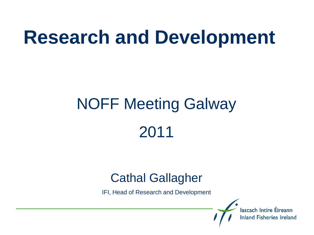### **Research and Development**

# NOFF Meeting Galway 2011

#### Cathal Gallagher

IFI, Head of Research and Development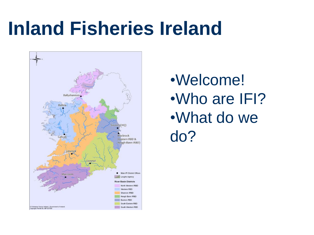### **Inland Fisheries Ireland**



•Welcome! •Who are IFI? •What do we do?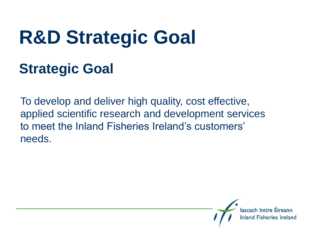# **R&D Strategic Goal**

#### **Strategic Goal**

To develop and deliver high quality, cost effective, applied scientific research and development services to meet the Inland Fisheries Ireland's customers' needs.

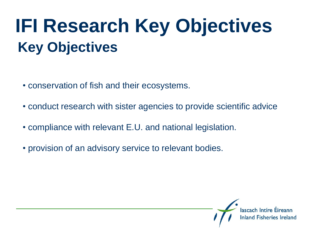### **IFI Research Key Objectives Key Objectives**

- conservation of fish and their ecosystems.
- conduct research with sister agencies to provide scientific advice
- compliance with relevant E.U. and national legislation.
- provision of an advisory service to relevant bodies.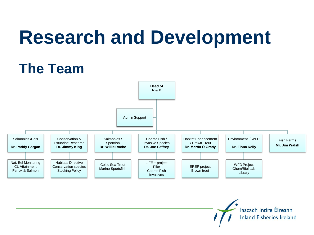## **Research and Development**

### **The Team**

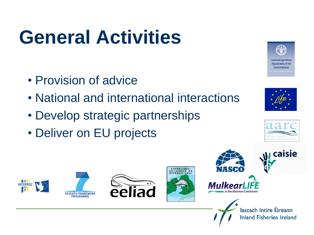# **General Activities**

- Provision of advice
- National and international interactions
- Develop strategic partnerships
- Deliver on EU projects















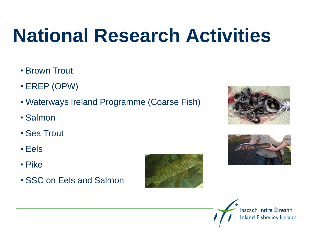# **National Research Activities**

- Brown Trout
- EREP (OPW)
- Waterways Ireland Programme (Coarse Fish)
- Salmon
- Sea Trout
- Eels
- Pike
- SSC on Eels and Salmon







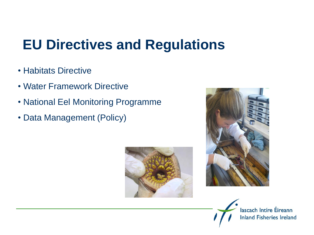### **EU Directives and Regulations**

- Habitats Directive
- Water Framework Directive
- National Eel Monitoring Programme
- Data Management (Policy)





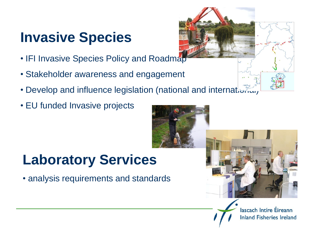#### **Invasive Species**

- IFI Invasive Species Policy and Roadmap
- Stakeholder awareness and engagement
- Develop and influence legislation (national and international)
- EU funded Invasive projects

### **Laboratory Services**

• analysis requirements and standards



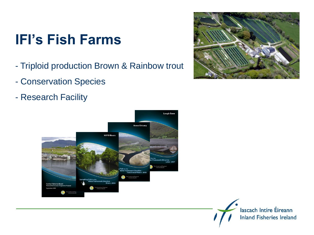#### **IFI's Fish Farms**

- Triploid production Brown & Rainbow trout
- Conservation Species
- Research Facility